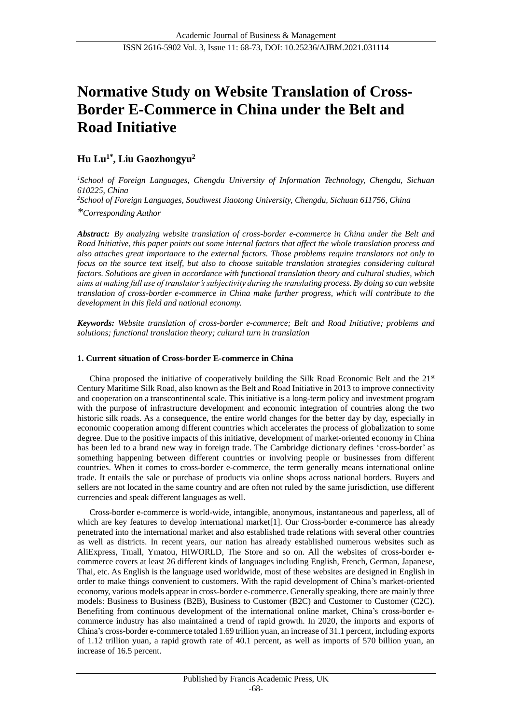# **Normative Study on Website Translation of Cross-Border E-Commerce in China under the Belt and Road Initiative**

# **Hu Lu<sup>1</sup>\* , Liu Gaozhongyu<sup>2</sup>**

*<sup>1</sup>School of Foreign Languages, Chengdu University of Information Technology, Chengdu, Sichuan 610225, China <sup>2</sup>School of Foreign Languages, Southwest Jiaotong University, Chengdu, Sichuan 611756, China*

*\*Corresponding Author* 

*Abstract: By analyzing website translation of cross-border e-commerce in China under the Belt and Road Initiative, this paper points out some internal factors that affect the whole translation process and also attaches great importance to the external factors. Those problems require translators not only to focus on the source text itself, but also to choose suitable translation strategies considering cultural factors. Solutions are given in accordance with functional translation theory and cultural studies, which aims at making full use of translator's subjectivity during the translating process. By doing so can website translation of cross-border e-commerce in China make further progress, which will contribute to the development in this field and national economy.*

*Keywords: Website translation of cross-border e-commerce; Belt and Road Initiative; problems and solutions; functional translation theory; cultural turn in translation*

### **1. Current situation of Cross-border E-commerce in China**

China proposed the initiative of cooperatively building the Silk Road Economic Belt and the  $21<sup>st</sup>$ Century Maritime Silk Road, also known as the Belt and Road Initiative in 2013 to improve connectivity and cooperation on a transcontinental scale. This initiative is a long-term policy and investment program with the purpose of infrastructure development and economic integration of countries along the two historic silk roads. As a consequence, the entire world changes for the better day by day, especially in economic cooperation among different countries which [accelerates](https://fanyi.so.com/#accelerate) the process of globalization to some degree. Due to the positive impacts of this initiative, development of market-oriented economy in China has been led to a brand new way in foreign trade. The Cambridge dictionary defines 'cross-border' as something happening between different countries or involving people or businesses from different countries. When it comes to cross-border e-commerce, the term generally means international online trade. It entails the sale or purchase of products via online shops across national borders. Buyers and sellers are not located in the same country and are often not ruled by the same jurisdiction, use different currencies and speak different languages as well.

Cross-border e-commerce is world-wide, intangible, anonymous, instantaneous and paperless, all of which are key features to develop international market<sup>[1]</sup>. Our Cross-border e-commerce has already penetrated into the international market and also established trade relations with several other countries as well as districts. In recent years, our nation has already established numerous websites such as AliExpress, Tmall, Ymatou, HIWORLD, The Store and so on. All the websites of cross-border ecommerce covers at least 26 different kinds of languages including English, French, German, Japanese, Thai, etc. As English is the language used worldwide, most of these websites are designed in English in order to make things convenient to customers. With the rapid development of China's market-oriented economy, various models appear in cross-border e-commerce. Generally speaking, there are mainly three models: Business to Business (B2B), Business to Customer (B2C) and Customer to Customer (C2C). Benefiting from continuous development of the international online market, China's cross-border ecommerce industry has also maintained a trend of rapid growth. In 2020, the imports and exports of China's cross-border e-commerce totaled 1.69 trillion yuan, an increase of 31.1 percent, including exports of 1.12 trillion yuan, a rapid growth rate of 40.1 percent, as well as imports of 570 billion yuan, an increase of 16.5 percent.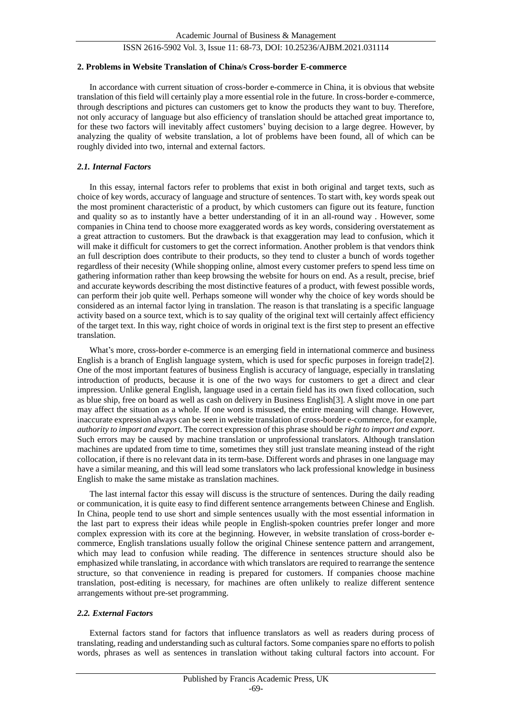#### **2. Problems in Website Translation of China/s Cross-border E-commerce**

In accordance with current situation of cross-border e-commerce in China, it is obvious that website translation of this field will certainly play a more essential role in the future. In cross-border e-commerce, through descriptions and pictures can customers get to know the products they want to buy. Therefore, not only accuracy of language but also efficiency of translation should be attached great importance to, for these two factors will inevitably affect customers' buying decision to a large degree. However, by analyzing the quality of website translation, a lot of problems have been found, all of which can be roughly divided into two, internal and external factors.

#### *2.1. Internal Factors*

In this essay, internal factors refer to problems that exist in both original and target texts, such as choice of key words, accuracy of language and structure of sentences. To start with, key words speak out the most prominent characteristic of a product, by which customers can figure out its feature, function and quality so as to instantly have a better understanding of it in an all-round way . However, some companies in China tend to choose more exaggerated words as key words, considering overstatement as a great attraction to customers. But the drawback is that exaggeration may lead to confusion, which it will make it difficult for customers to get the correct information. Another problem is that vendors think an full description does contribute to their products, so they tend to cluster a bunch of words together regardless of their necesity (While shopping online, almost every customer prefers to spend less time on gathering information rather than keep browsing the website for hours on end. As a result, precise, brief and accurate keywords describing the most distinctive features of a product, with fewest possible words, can perform their job quite well. Perhaps someone will wonder why the choice of key words should be considered as an internal factor lying in translation. The reason is that translating is a specific language activity based on a source text, which is to say quality of the original text will certainly affect efficiency of the target text. In this way, right choice of words in original text is the first step to present an effective translation.

What's more, cross-border e-commerce is an emerging field in international commerce and business English is a branch of English language system, which is used for specfic purposes in foreign trade[2]. One of the most important features of business English is accuracy of language, especially in translating introduction of products, because it is one of the two ways for customers to get a direct and clear impression. Unlike general English, language used in a certain field has its own fixed collocation, such as blue ship, free on board as well as cash on delivery in Business English[3]. A slight move in one part may affect the situation as a whole. If one word is misused, the entire meaning will change. However, inaccurate expression always can be seen in website translation of cross-border e-commerce, for example, *authority to import and export*. The correct expression of this phrase should be *right to import and export*. Such errors may be caused by machine translation or unprofessional translators. Although translation machines are updated from time to time, sometimes they still just translate meaning instead of the right collocation, if there is no relevant data in its term-base. Different words and phrases in one language may have a similar meaning, and this will lead some translators who lack professional knowledge in business English to make the same mistake as translation machines.

The last internal factor this essay will discuss is the structure of sentences. During the daily reading or communication, it is quite easy to find different sentence arrangements between Chinese and English. In China, people tend to use short and simple sentences usually with the most essential information in the last part to express their ideas while people in English-spoken countries prefer longer and more complex expression with its core at the beginning. However, in website translation of cross-border ecommerce, English translations usually follow the original Chinese sentence pattern and arrangement, which may lead to confusion while reading. The difference in sentences structure should also be emphasized while translating, in accordance with which translators are required to rearrange the sentence structure, so that convenience in reading is prepared for customers. If companies choose machine translation, post-editing is necessary, for machines are often unlikely to realize different sentence arrangements without pre-set programming.

#### *2.2. External Factors*

External factors stand for factors that influence translators as well as readers during process of translating, reading and understanding such as cultural factors. Some companies spare no efforts to polish words, phrases as well as sentences in translation without taking cultural factors into account. For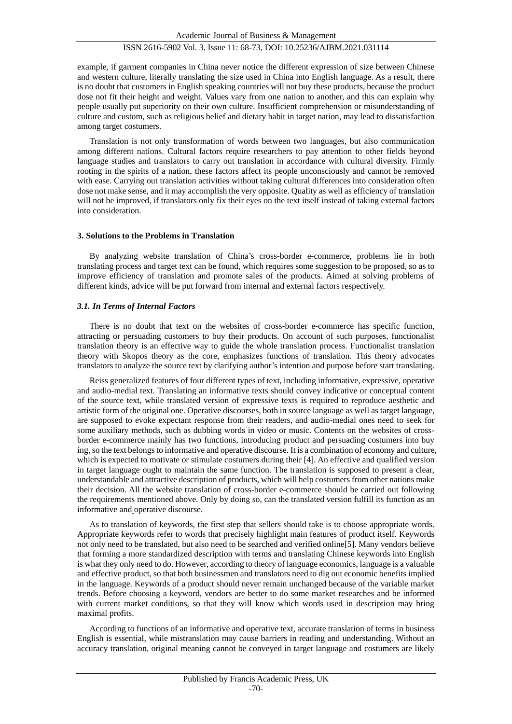example, if garment companies in China never notice the different expression of size between Chinese and western culture, literally translating the size used in China into English language. As a result, there is no doubt that customers in English speaking countries will not buy these products, because the product dose not fit their height and weight. Values vary from one nation to another, and this can explain why people usually put superiority on their own culture. Insufficient comprehension or misunderstanding of culture and custom, such as religious belief and dietary habit in target nation, may lead to dissatisfaction among target costumers.

Translation is not only transformation of words between two languages, but also communication among different nations. Cultural factors require researchers to pay attention to other fields beyond language studies and translators to carry out translation in accordance with cultural diversity. Firmly rooting in the spirits of a nation, these factors affect its people unconsciously and cannot be removed with ease. Carrying out translation activities without taking cultural differences into consideration often dose not make sense, and it may accomplish the very opposite. Quality as well as efficiency of translation will not be improved, if translators only fix their eyes on the text itself instead of taking external factors into consideration.

#### **3. Solutions to the Problems in Translation**

By analyzing website translation of China's cross-border e-commerce, problems lie in both translating process and target text can be found, which requires some suggestion to be proposed, so as to improve efficiency of translation and promote sales of the products. Aimed at solving problems of different kinds, advice will be put forward from internal and external factors respectively.

#### *3.1. In Terms of Internal Factors*

There is no doubt that text on the websites of cross-border e-commerce has specific function, attracting or persuading customers to buy their products. On account of such purposes, functionalist translation theory is an effective way to guide the whole translation process. Functionalist translation theory with Skopos theory as the core, emphasizes functions of translation. This theory advocates translators to analyze the source text by clarifying author's intention and purpose before start translating.

Reiss generalized features of four different types of text, including informative, expressive, operative and audio-medial text. Translating an informative texts should convey indicative or conceptual content of the source text, while translated version of expressive texts is required to reproduce aesthetic and artistic form of the original one. Operative discourses, both in source language as well as target language, are supposed to evoke expectant response from their readers, and audio-medial ones need to seek for some auxiliary methods, such as dubbing words in video or music. Contents on the websites of crossborder e-commerce mainly has two functions, introducing product and persuading costumers into buy ing, so the text belongs to informative and operative discourse. It is a combination of economy and culture, which is expected to motivate or stimulate costumers during their [4]. An effective and qualified version in target language ought to maintain the same function. The translation is supposed to present a clear, understandable and attractive description of products, which will help costumers from other nations make their decision. All the website translation of cross-border e-commerce should be carried out following the requirements mentioned above. Only by doing so, can the translated version fulfill its function as an informative and operative discourse.

As to translation of keywords, the first step that sellers should take is to choose appropriate words. Appropriate keywords refer to words that precisely highlight main features of product itself. Keywords not only need to be translated, but also need to be searched and verified online[5]. Many vendors believe that forming a more standardized description with terms and translating Chinese keywords into English is what they only need to do. However, according to theory of language economics, language is a valuable and effective product, so that both businessmen and translators need to dig out economic benefits implied in the language. Keywords of a product should never remain unchanged because of the variable market trends. Before choosing a keyword, vendors are better to do some market researches and be informed with current market conditions, so that they will know which words used in description may bring maximal profits.

According to functions of an informative and operative text, accurate translation of terms in business English is essential, while mistranslation may cause barriers in reading and understanding. Without an accuracy translation, original meaning cannot be conveyed in target language and costumers are likely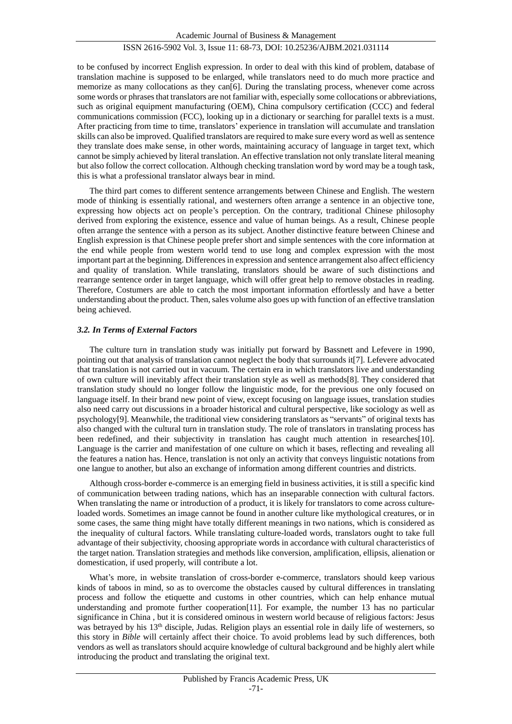to be confused by incorrect English expression. In order to deal with this kind of problem, database of translation machine is supposed to be enlarged, while translators need to do much more practice and memorize as many collocations as they can[6]. During the translating process, whenever come across some words or phrases that translators are not familiar with, especially some collocations or abbreviations, such as original equipment manufacturing (OEM), China compulsory certification (CCC) and federal communications commission (FCC), looking up in a dictionary or searching for parallel texts is a must. After practicing from time to time, translators' experience in translation will accumulate and translation skills can also be improved. Qualified translators are required to make sure every word as well as sentence they translate does make sense, in other words, maintaining accuracy of language in target text, which cannot be simply achieved by literal translation. An effective translation not only translate literal meaning but also follow the correct collocation. Although checking translation word by word may be a tough task, this is what a professional translator always bear in mind.

The third part comes to different sentence arrangements between Chinese and English. The western mode of thinking is essentially rational, and westerners often arrange a sentence in an objective tone, expressing how objects act on people's perception. On the contrary, traditional Chinese philosophy derived from exploring the existence, essence and value of human beings. As a result, Chinese people often arrange the sentence with a person as its subject. Another distinctive feature between Chinese and English expression is that Chinese people prefer short and simple sentences with the core information at the end while people from western world tend to use long and complex expression with the most important part at the beginning. Differences in expression and sentence arrangement also affect efficiency and quality of translation. While translating, translators should be aware of such distinctions and rearrange sentence order in target language, which will offer great help to remove obstacles in reading. Therefore, Costumers are able to catch the most important information effortlessly and have a better understanding about the product. Then, sales volume also goes up with function of an effective translation being achieved.

#### *3.2. In Terms of External Factors*

The culture turn in translation study was initially put forward by Bassnett and Lefevere in 1990, pointing out that analysis of translation cannot neglect the body that surrounds it[7]. Lefevere advocated that translation is not carried out in vacuum. The certain era in which translators live and understanding of own culture will inevitably affect their translation style as well as methods[8]. They considered that translation study should no longer follow the linguistic mode, for the previous one only focused on language itself. In their brand new point of view, except focusing on language issues, translation studies also need carry out discussions in a broader historical and cultural perspective, like sociology as well as psychology[9]. Meanwhile, the traditional view considering translators as "servants" of original texts has also changed with the cultural turn in translation study. The role of translators in translating process has been redefined, and their subjectivity in translation has caught much attention in researches[10]. Language is the carrier and manifestation of one culture on which it bases, reflecting and revealing all the features a nation has. Hence, translation is not only an activity that conveys linguistic notations from one langue to another, but also an exchange of information among different countries and districts.

Although cross-border e-commerce is an emerging field in business activities, it is still a specific kind of communication between trading nations, which has an inseparable connection with cultural factors. When translating the name or introduction of a product, it is likely for translators to come across cultureloaded words. Sometimes an image cannot be found in another culture like mythological creatures, or in some cases, the same thing might have totally different meanings in two nations, which is considered as the inequality of cultural factors. While translating culture-loaded words, translators ought to take full advantage of their subjectivity, choosing appropriate words in accordance with cultural characteristics of the target nation. Translation strategies and methods like conversion, amplification, ellipsis, alienation or domestication, if used properly, will contribute a lot.

What's more, in website translation of cross-border e-commerce, translators should keep various kinds of taboos in mind, so as to overcome the obstacles caused by cultural differences in translating process and follow the etiquette and customs in other countries, which can help enhance mutual understanding and promote further cooperation[11]. For example, the number 13 has no particular significance in China , but it is considered ominous in western world because of religious factors: Jesus was betrayed by his 13<sup>th</sup> disciple, Judas. Religion plays an essential role in daily life of westerners, so this story in *Bible* will certainly affect their choice. To avoid problems lead by such differences, both vendors as well as translators should acquire knowledge of cultural background and be highly alert while introducing the product and translating the original text.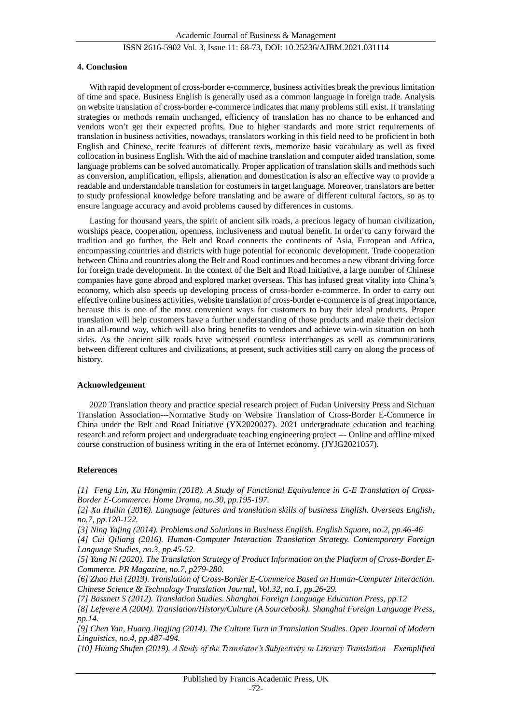#### **4. Conclusion**

With rapid development of cross-border e-commerce, business activities break the previous limitation of time and space. Business English is generally used as a common language in foreign trade. Analysis on website translation of cross-border e-commerce indicates that many problems still exist. If translating strategies or methods remain unchanged, efficiency of translation has no chance to be enhanced and vendors won't get their expected profits. Due to higher standards and more strict requirements of translation in business activities, nowadays, translators working in this field need to be proficient in both English and Chinese, recite features of different texts, memorize basic vocabulary as well as fixed collocation in business English. With the aid of machine translation and computer aided translation, some language problems can be solved automatically. Proper application of translation skills and methods such as conversion, amplification, ellipsis, alienation and domestication is also an effective way to provide a readable and understandable translation for costumers in target language. Moreover, translators are better to study professional knowledge before translating and be aware of different cultural factors, so as to ensure language accuracy and avoid problems caused by differences in customs.

Lasting for thousand years, the spirit of ancient silk roads, a precious legacy of human civilization, worships peace, cooperation, openness, inclusiveness and mutual benefit. In order to carry forward the tradition and go further, the Belt and Road connects the continents of Asia, European and Africa, encompassing countries and districts with huge potential for economic development. Trade cooperation between China and countries along the Belt and Road continues and becomes a new vibrant driving force for foreign trade development. In the context of the Belt and Road Initiative, a large number of Chinese companies have gone abroad and explored market overseas. This has infused great vitality into China's economy, which also speeds up developing process of cross-border e-commerce. In order to carry out effective online business activities, website translation of cross-border e-commerce is of great importance, because this is one of the most convenient ways for customers to buy their ideal products. Proper translation will help customers have a further understanding of those products and make their decision in an all-round way, which will also bring benefits to vendors and achieve win-win situation on both sides. As the ancient silk roads have witnessed countless interchanges as well as communications between different cultures and civilizations, at present, such activities still carry on along the process of history.

#### **Acknowledgement**

2020 Translation theory and practice special research project of Fudan University Press and Sichuan Translation Association---Normative Study on Website Translation of Cross-Border E-Commerce in China under the Belt and Road Initiative (YX2020027). 2021 undergraduate education and teaching research and reform project and undergraduate teaching engineering project --- Online and offline mixed course construction of business writing in the era of Internet economy. (JYJG2021057).

#### **References**

*[1] Feng Lin, Xu Hongmin (2018). A Study of Functional Equivalence in C-E Translation of Cross-Border E-Commerce. Home Drama, no.30, pp.195-197.*

*[2] Xu Huilin (2016). Language features and translation skills of business English. Overseas English, no.7, pp.120-122.*

*[3] Ning Yajing (2014). Problems and Solutions in Business English. English Square, no.2, pp.46-46 [4] Cui Qiliang (2016). Human-Computer Interaction Translation Strategy. Contemporary Foreign Language Studies, no.3, pp.45-52.* 

*[5] Yang Ni (2020). The Translation Strategy of Product Information on the Platform of Cross-Border E-Commerce. PR Magazine, no.7, p279-280.*

*[6] Zhao Hui (2019). Translation of Cross-Border E-Commerce Based on Human-Computer Interaction. Chinese Science & Technology Translation Journal, Vol.32, no.1, pp.26-29.*

*[7] Bassnett S (2012). Translation Studies. Shanghai Foreign Language Education Press, pp.12*

*[8] Lefevere A (2004). Translation/History/Culture (A Sourcebook). Shanghai Foreign Language Press, pp.14.*

*[9] Chen Yan, Huang Jingjing (2014). The Culture Turn in Translation Studies. Open Journal of Modern Linguistics, no.4, pp.487-494.*

*[10] Huang Shufen (2019). A Study of the Translator's Subjectivity in Literary Translation—Exemplified*